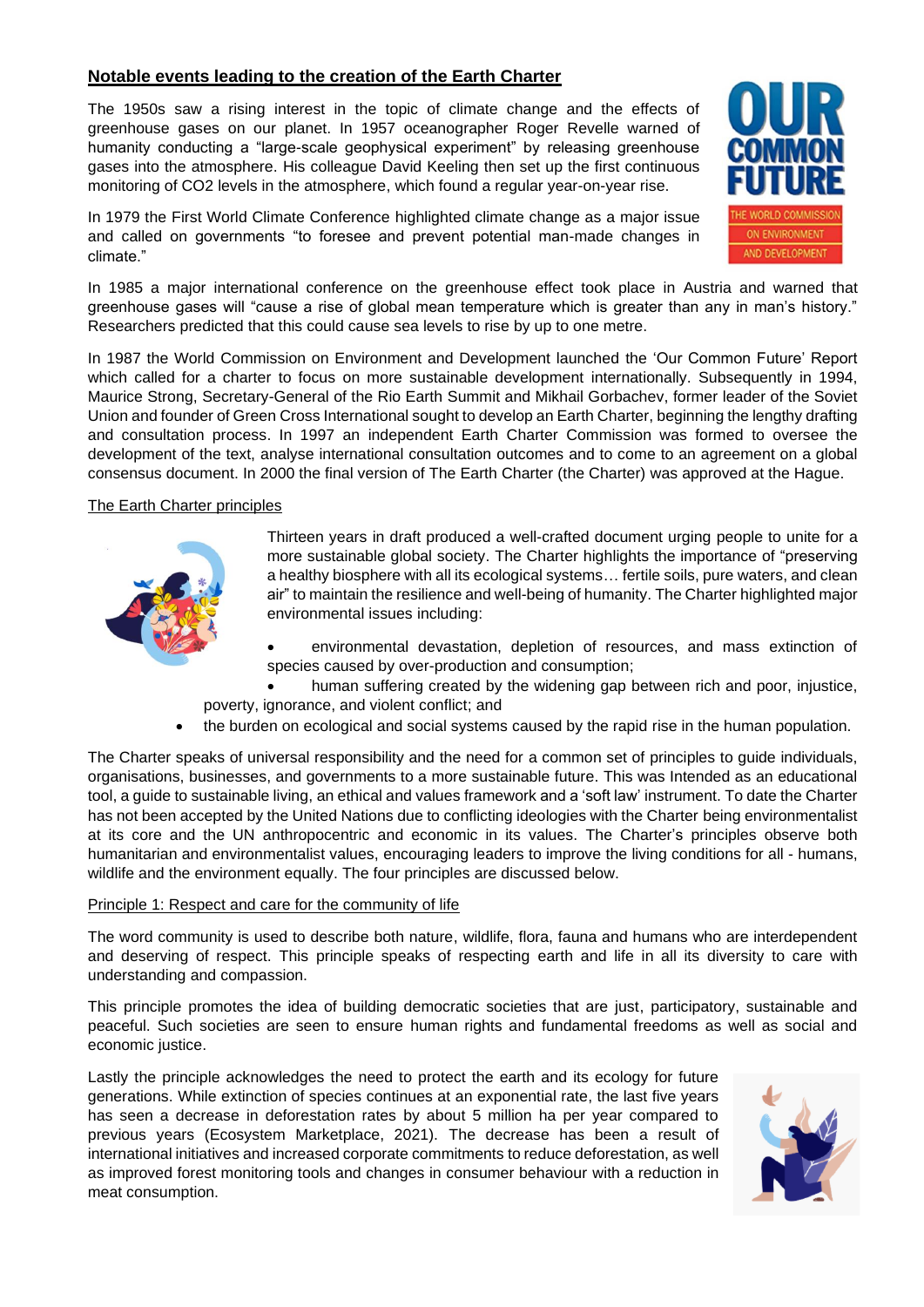# **Notable events leading to the creation of the Earth Charter**

The 1950s saw a rising interest in the topic of climate change and the effects of greenhouse gases on our planet. In 1957 oceanographer Roger Revelle warned of humanity conducting a "large-scale geophysical experiment" by releasing greenhouse gases into the atmosphere. His colleague David Keeling then set up the first continuous monitoring of CO2 levels in the atmosphere, which found a regular year-on-year rise.

In 1979 the First World Climate Conference highlighted climate change as a major issue and called on governments "to foresee and prevent potential man-made changes in climate."



In 1985 a major international conference on the greenhouse effect took place in Austria and warned that greenhouse gases will "cause a rise of global mean temperature which is greater than any in man's history." Researchers predicted that this could cause sea levels to rise by up to one metre.

In 1987 the World Commission on Environment and Development launched the 'Our Common Future' Report which called for a charter to focus on more sustainable development internationally. Subsequently in 1994, Maurice Strong, Secretary-General of the Rio Earth Summit and Mikhail Gorbachev, former leader of the Soviet Union and founder of Green Cross International sought to develop an Earth Charter, beginning the lengthy drafting and consultation process. In 1997 an independent Earth Charter Commission was formed to oversee the development of the text, analyse international consultation outcomes and to come to an agreement on a global consensus document. In 2000 the final version of The Earth Charter (the Charter) was approved at the Hague.

### The Earth Charter principles



Thirteen years in draft produced a well-crafted document urging people to unite for a more sustainable global society. The Charter highlights the importance of "preserving a healthy biosphere with all its ecological systems… fertile soils, pure waters, and clean air" to maintain the resilience and well-being of humanity. The Charter highlighted major environmental issues including:

- environmental devastation, depletion of resources, and mass extinction of species caused by over-production and consumption;
- human suffering created by the widening gap between rich and poor, injustice, poverty, ignorance, and violent conflict; and
- the burden on ecological and social systems caused by the rapid rise in the human population.

The Charter speaks of universal responsibility and the need for a common set of principles to guide individuals, organisations, businesses, and governments to a more sustainable future. This was Intended as an educational tool, a guide to sustainable living, an ethical and values framework and a 'soft law' instrument. To date the Charter has not been accepted by the United Nations due to conflicting ideologies with the Charter being environmentalist at its core and the UN anthropocentric and economic in its values. The Charter's principles observe both humanitarian and environmentalist values, encouraging leaders to improve the living conditions for all - humans, wildlife and the environment equally. The four principles are discussed below.

#### Principle 1: Respect and care for the community of life

The word community is used to describe both nature, wildlife, flora, fauna and humans who are interdependent and deserving of respect. This principle speaks of respecting earth and life in all its diversity to care with understanding and compassion.

This principle promotes the idea of building democratic societies that are just, participatory, sustainable and peaceful. Such societies are seen to ensure human rights and fundamental freedoms as well as social and economic justice.

Lastly the principle acknowledges the need to protect the earth and its ecology for future generations. While extinction of species continues at an exponential rate, the last five years has seen a decrease in deforestation rates by about 5 million ha per year compared to previous years (Ecosystem Marketplace, 2021). The decrease has been a result of international initiatives and increased corporate commitments to reduce deforestation, as well as improved forest monitoring tools and changes in consumer behaviour with a reduction in meat consumption.